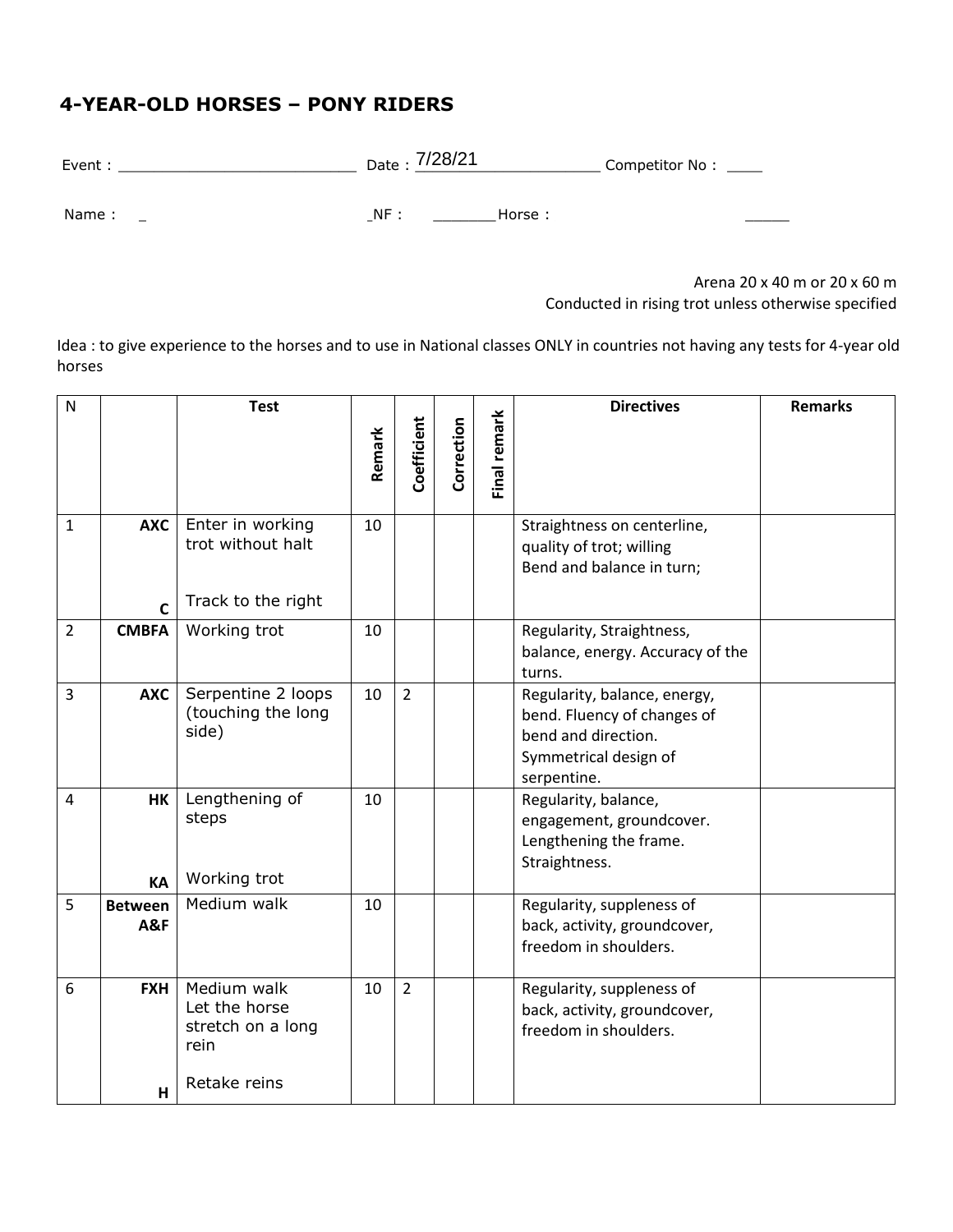## **4-YEAR-OLD HORSES – PONY RIDERS**

| Event :           | Date: 7/28/21 | _ Competitor No: _____ |
|-------------------|---------------|------------------------|
| Name:<br>$\equiv$ | NF:<br>Horse: |                        |

Arena 20 x 40 m or 20 x 60 m Conducted in rising trot unless otherwise specified

Idea : to give experience to the horses and to use in National classes ONLY in countries not having any tests for 4-year old horses

| N              |                             | <b>Test</b>                                               | Remark | Coefficient    | Correction | Final remark | <b>Directives</b>                                                                                                          | <b>Remarks</b> |
|----------------|-----------------------------|-----------------------------------------------------------|--------|----------------|------------|--------------|----------------------------------------------------------------------------------------------------------------------------|----------------|
|                |                             |                                                           |        |                |            |              |                                                                                                                            |                |
| $\mathbf{1}$   | AXC                         | Enter in working<br>trot without halt                     | 10     |                |            |              | Straightness on centerline,<br>quality of trot; willing<br>Bend and balance in turn;                                       |                |
|                | $\mathsf{C}$                | Track to the right                                        |        |                |            |              |                                                                                                                            |                |
| $\overline{2}$ | <b>CMBFA</b>                | Working trot                                              | 10     |                |            |              | Regularity, Straightness,<br>balance, energy. Accuracy of the<br>turns.                                                    |                |
| 3              | <b>AXC</b>                  | Serpentine 2 loops<br>(touching the long<br>side)         | 10     | $\overline{2}$ |            |              | Regularity, balance, energy,<br>bend. Fluency of changes of<br>bend and direction.<br>Symmetrical design of<br>serpentine. |                |
| $\overline{4}$ | <b>HK</b>                   | Lengthening of<br>steps<br>Working trot                   | 10     |                |            |              | Regularity, balance,<br>engagement, groundcover.<br>Lengthening the frame.<br>Straightness.                                |                |
| 5              | KA<br><b>Between</b><br>A&F | Medium walk                                               | 10     |                |            |              | Regularity, suppleness of<br>back, activity, groundcover,<br>freedom in shoulders.                                         |                |
| 6              | <b>FXH</b>                  | Medium walk<br>Let the horse<br>stretch on a long<br>rein | 10     | $\overline{2}$ |            |              | Regularity, suppleness of<br>back, activity, groundcover,<br>freedom in shoulders.                                         |                |
|                | H                           | Retake reins                                              |        |                |            |              |                                                                                                                            |                |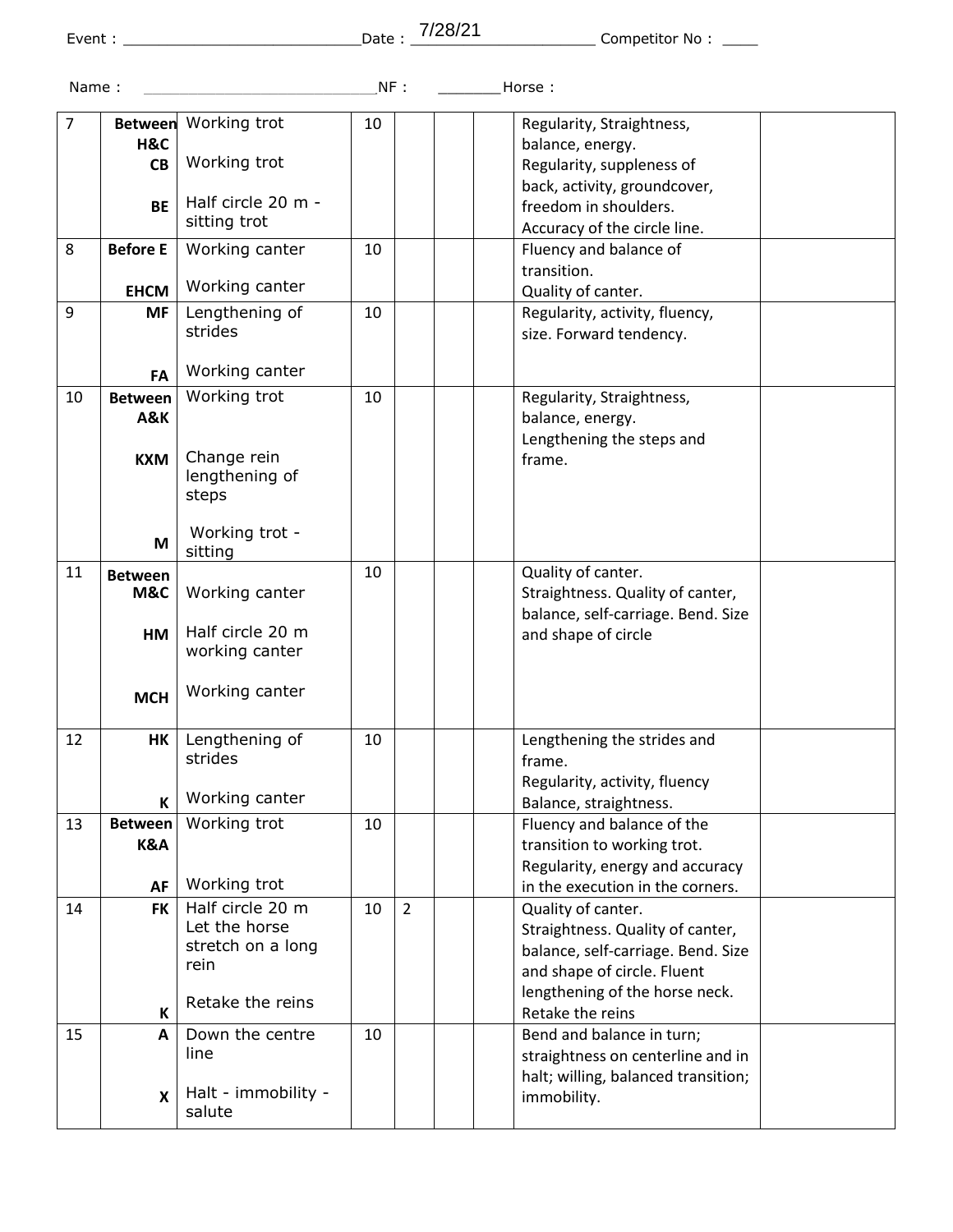Event : \_\_\_\_\_\_\_\_\_\_\_\_\_\_\_\_\_\_\_\_\_\_\_\_\_\_\_Date : \_\_\_\_\_\_\_\_\_\_\_\_\_\_\_\_\_\_\_\_\_ Competitor No : \_\_\_\_ 7/28/21

| Name:          |                                                |                                                                                                       | NF: |                | Horse:                                                                                                                                                                            |  |
|----------------|------------------------------------------------|-------------------------------------------------------------------------------------------------------|-----|----------------|-----------------------------------------------------------------------------------------------------------------------------------------------------------------------------------|--|
| $\overline{7}$ | <b>Between</b><br>H&C<br>CB<br><b>BE</b>       | Working trot<br>Working trot<br>Half circle 20 m -<br>sitting trot                                    | 10  |                | Regularity, Straightness,<br>balance, energy.<br>Regularity, suppleness of<br>back, activity, groundcover,<br>freedom in shoulders.<br>Accuracy of the circle line.               |  |
| 8              | <b>Before E</b><br><b>EHCM</b>                 | Working canter<br>Working canter                                                                      | 10  |                | Fluency and balance of<br>transition.<br>Quality of canter.                                                                                                                       |  |
| 9              | <b>MF</b>                                      | Lengthening of<br>strides                                                                             | 10  |                | Regularity, activity, fluency,<br>size. Forward tendency.                                                                                                                         |  |
| 10             | FA<br><b>Between</b><br>A&K<br><b>KXM</b><br>M | Working canter<br>Working trot<br>Change rein<br>lengthening of<br>steps<br>Working trot -<br>sitting | 10  |                | Regularity, Straightness,<br>balance, energy.<br>Lengthening the steps and<br>frame.                                                                                              |  |
| 11             | <b>Between</b><br>M&C<br>HM<br><b>MCH</b>      | Working canter<br>Half circle 20 m<br>working canter<br>Working canter                                | 10  |                | Quality of canter.<br>Straightness. Quality of canter,<br>balance, self-carriage. Bend. Size<br>and shape of circle                                                               |  |
| 12             | HK<br>$\mathsf{K}$                             | Lengthening of<br>strides<br>Working canter                                                           | 10  |                | Lengthening the strides and<br>frame.<br>Regularity, activity, fluency<br>Balance, straightness.                                                                                  |  |
| 13             | <b>Between</b><br>K&A<br>AF                    | Working trot<br>Working trot                                                                          | 10  |                | Fluency and balance of the<br>transition to working trot.<br>Regularity, energy and accuracy<br>in the execution in the corners.                                                  |  |
| 14             | <b>FK</b><br>K                                 | Half circle 20 m<br>Let the horse<br>stretch on a long<br>rein<br>Retake the reins                    | 10  | $\overline{2}$ | Quality of canter.<br>Straightness. Quality of canter,<br>balance, self-carriage. Bend. Size<br>and shape of circle. Fluent<br>lengthening of the horse neck.<br>Retake the reins |  |
| 15             | A<br>$\mathsf{X}$                              | Down the centre<br>line<br>Halt - immobility -<br>salute                                              | 10  |                | Bend and balance in turn;<br>straightness on centerline and in<br>halt; willing, balanced transition;<br>immobility.                                                              |  |